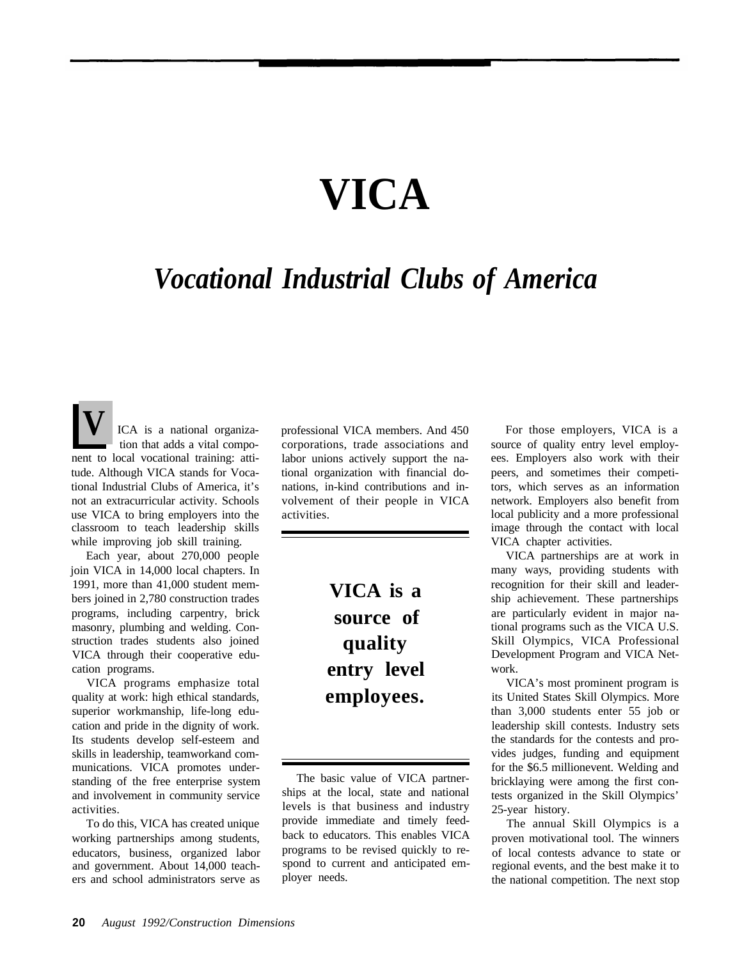## **VICA**

## *Vocational Industrial Clubs of America*

ICA is a national organization that adds a vital component to local vocational training: attitude. Although VICA stands for Vocational Industrial Clubs of America, it's not an extracurricular activity. Schools use VICA to bring employers into the classroom to teach leadership skills while improving job skill training.

Each year, about 270,000 people join VICA in 14,000 local chapters. In 1991, more than 41,000 student members joined in 2,780 construction trades programs, including carpentry, brick masonry, plumbing and welding. Construction trades students also joined VICA through their cooperative education programs.

VICA programs emphasize total quality at work: high ethical standards, superior workmanship, life-long education and pride in the dignity of work. Its students develop self-esteem and skills in leadership, teamworkand communications. VICA promotes understanding of the free enterprise system and involvement in community service activities.

To do this, VICA has created unique working partnerships among students, educators, business, organized labor and government. About 14,000 teachers and school administrators serve as

professional VICA members. And 450 corporations, trade associations and labor unions actively support the national organization with financial donations, in-kind contributions and involvement of their people in VICA activities.

> **VICA is a source of quality entry level employees.**

The basic value of VICA partnerships at the local, state and national levels is that business and industry provide immediate and timely feedback to educators. This enables VICA programs to be revised quickly to respond to current and anticipated employer needs.

For those employers, VICA is a source of quality entry level employees. Employers also work with their peers, and sometimes their competitors, which serves as an information network. Employers also benefit from local publicity and a more professional image through the contact with local VICA chapter activities.

VICA partnerships are at work in many ways, providing students with recognition for their skill and leadership achievement. These partnerships are particularly evident in major national programs such as the VICA U.S. Skill Olympics, VICA Professional Development Program and VICA Network.

VICA's most prominent program is its United States Skill Olympics. More than 3,000 students enter 55 job or leadership skill contests. Industry sets the standards for the contests and provides judges, funding and equipment for the \$6.5 millionevent. Welding and bricklaying were among the first contests organized in the Skill Olympics' 25-year history.

The annual Skill Olympics is a proven motivational tool. The winners of local contests advance to state or regional events, and the best make it to the national competition. The next stop